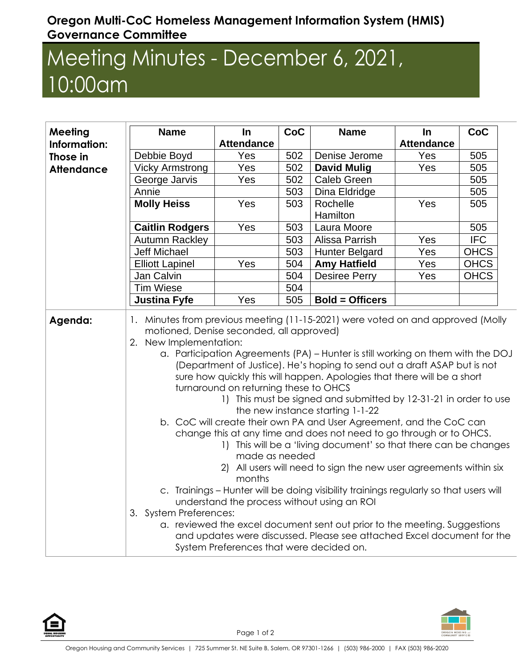## **Oregon Multi-CoC Homeless Management Information System (HMIS) Governance Committee**

## Meeting Minutes - December 6, 2021, 10:00am

| Meeting<br>Information: | <b>Name</b>                                                                                                                                                                                                                                                                                                                                                                                                                                                                                                                                                                                                                                                                                                                                                                                                                                                                                                                                                                                                                                                                                                                                                                                                                              | $\ln$<br><b>Attendance</b> | CoC | <b>Name</b>            | In<br><b>Attendance</b> | CoC         |
|-------------------------|------------------------------------------------------------------------------------------------------------------------------------------------------------------------------------------------------------------------------------------------------------------------------------------------------------------------------------------------------------------------------------------------------------------------------------------------------------------------------------------------------------------------------------------------------------------------------------------------------------------------------------------------------------------------------------------------------------------------------------------------------------------------------------------------------------------------------------------------------------------------------------------------------------------------------------------------------------------------------------------------------------------------------------------------------------------------------------------------------------------------------------------------------------------------------------------------------------------------------------------|----------------------------|-----|------------------------|-------------------------|-------------|
| Those in                | Debbie Boyd                                                                                                                                                                                                                                                                                                                                                                                                                                                                                                                                                                                                                                                                                                                                                                                                                                                                                                                                                                                                                                                                                                                                                                                                                              | Yes                        | 502 | Denise Jerome          | Yes                     | 505         |
| <b>Attendance</b>       | <b>Vicky Armstrong</b>                                                                                                                                                                                                                                                                                                                                                                                                                                                                                                                                                                                                                                                                                                                                                                                                                                                                                                                                                                                                                                                                                                                                                                                                                   | Yes                        | 502 | <b>David Mulig</b>     | Yes                     | 505         |
|                         | George Jarvis                                                                                                                                                                                                                                                                                                                                                                                                                                                                                                                                                                                                                                                                                                                                                                                                                                                                                                                                                                                                                                                                                                                                                                                                                            | Yes                        | 502 | <b>Caleb Green</b>     |                         | 505         |
|                         | Annie                                                                                                                                                                                                                                                                                                                                                                                                                                                                                                                                                                                                                                                                                                                                                                                                                                                                                                                                                                                                                                                                                                                                                                                                                                    |                            | 503 | Dina Eldridge          |                         | 505         |
|                         | <b>Molly Heiss</b>                                                                                                                                                                                                                                                                                                                                                                                                                                                                                                                                                                                                                                                                                                                                                                                                                                                                                                                                                                                                                                                                                                                                                                                                                       | Yes                        | 503 | Rochelle<br>Hamilton   | Yes                     | 505         |
|                         | <b>Caitlin Rodgers</b>                                                                                                                                                                                                                                                                                                                                                                                                                                                                                                                                                                                                                                                                                                                                                                                                                                                                                                                                                                                                                                                                                                                                                                                                                   | Yes                        | 503 | Laura Moore            |                         | 505         |
|                         | <b>Autumn Rackley</b>                                                                                                                                                                                                                                                                                                                                                                                                                                                                                                                                                                                                                                                                                                                                                                                                                                                                                                                                                                                                                                                                                                                                                                                                                    |                            | 503 | Alissa Parrish         | Yes                     | <b>IFC</b>  |
|                         | <b>Jeff Michael</b>                                                                                                                                                                                                                                                                                                                                                                                                                                                                                                                                                                                                                                                                                                                                                                                                                                                                                                                                                                                                                                                                                                                                                                                                                      |                            | 503 | <b>Hunter Belgard</b>  | Yes                     | <b>OHCS</b> |
|                         | <b>Elliott Lapinel</b>                                                                                                                                                                                                                                                                                                                                                                                                                                                                                                                                                                                                                                                                                                                                                                                                                                                                                                                                                                                                                                                                                                                                                                                                                   | Yes                        | 504 | <b>Amy Hatfield</b>    | Yes                     | <b>OHCS</b> |
|                         | Jan Calvin                                                                                                                                                                                                                                                                                                                                                                                                                                                                                                                                                                                                                                                                                                                                                                                                                                                                                                                                                                                                                                                                                                                                                                                                                               |                            | 504 | <b>Desiree Perry</b>   | Yes                     | <b>OHCS</b> |
|                         | <b>Tim Wiese</b>                                                                                                                                                                                                                                                                                                                                                                                                                                                                                                                                                                                                                                                                                                                                                                                                                                                                                                                                                                                                                                                                                                                                                                                                                         |                            | 504 |                        |                         |             |
|                         | <b>Justina Fyfe</b>                                                                                                                                                                                                                                                                                                                                                                                                                                                                                                                                                                                                                                                                                                                                                                                                                                                                                                                                                                                                                                                                                                                                                                                                                      | Yes                        | 505 | <b>Bold = Officers</b> |                         |             |
| Agenda:                 | 1. Minutes from previous meeting (11-15-2021) were voted on and approved (Molly<br>motioned, Denise seconded, all approved)<br>2. New Implementation:<br>a. Participation Agreements (PA) - Hunter is still working on them with the DOJ<br>(Department of Justice). He's hoping to send out a draft ASAP but is not<br>sure how quickly this will happen. Apologies that there will be a short<br>turnaround on returning these to OHCS<br>1) This must be signed and submitted by 12-31-21 in order to use<br>the new instance starting 1-1-22<br>b. CoC will create their own PA and User Agreement, and the CoC can<br>change this at any time and does not need to go through or to OHCS.<br>1) This will be a 'living document' so that there can be changes<br>made as needed<br>2) All users will need to sign the new user agreements within six<br>months<br>c. Trainings - Hunter will be doing visibility trainings regularly so that users will<br>understand the process without using an ROI<br>3. System Preferences:<br>a. reviewed the excel document sent out prior to the meeting. Suggestions<br>and updates were discussed. Please see attached Excel document for the<br>System Preferences that were decided on. |                            |     |                        |                         |             |